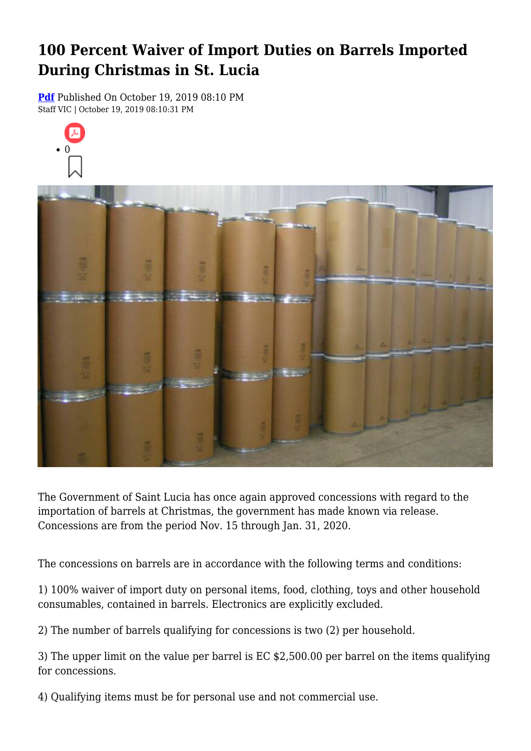## **100 Percent Waiver of Import Duties on Barrels Imported During Christmas in St. Lucia**

**[Pdf](https://viconsortium.com/caribbean-pdf)** Published On October 19, 2019 08:10 PM Staff VIC | October 19, 2019 08:10:31 PM



The Government of Saint Lucia has once again approved concessions with regard to the importation of barrels at Christmas, the government has made known via release. Concessions are from the period Nov. 15 through Jan. 31, 2020.

The concessions on barrels are in accordance with the following terms and conditions:

1) 100% waiver of import duty on personal items, food, clothing, toys and other household consumables, contained in barrels. Electronics are explicitly excluded.

2) The number of barrels qualifying for concessions is two (2) per household.

3) The upper limit on the value per barrel is EC \$2,500.00 per barrel on the items qualifying for concessions.

4) Qualifying items must be for personal use and not commercial use.